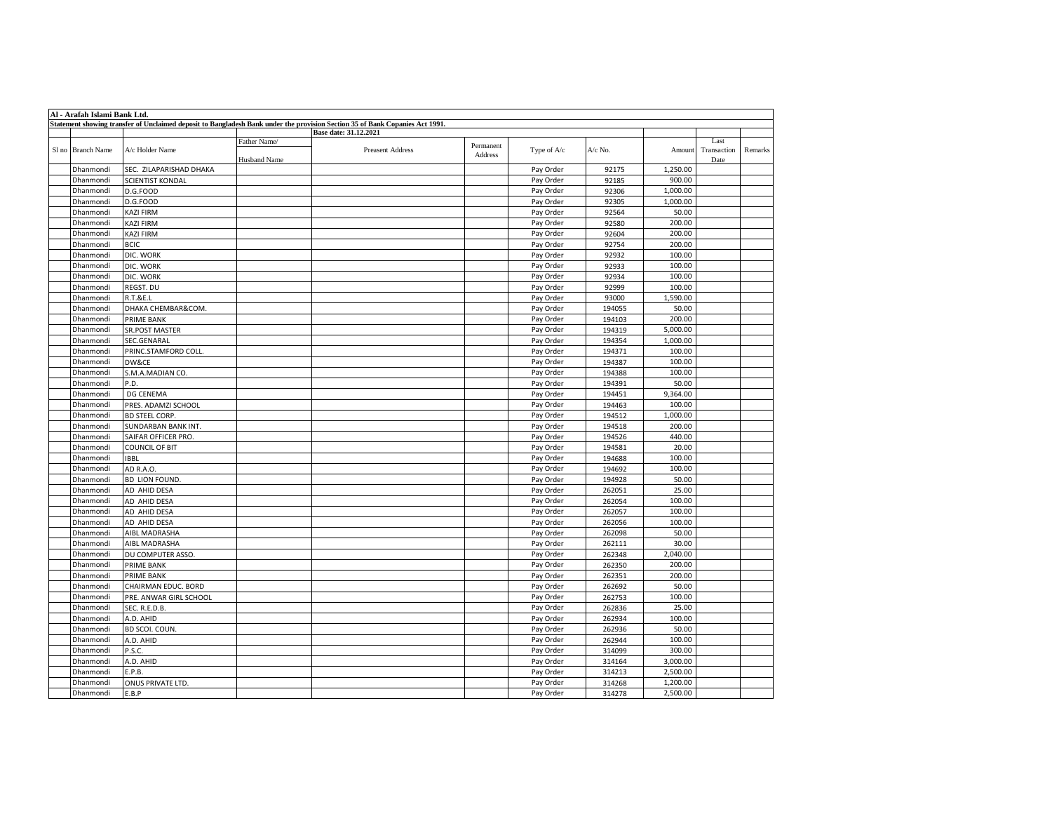| Al - Arafah Islami Bank Ltd.                                                                                                 |                   |                         |                     |                         |                      |             |         |          |                     |         |
|------------------------------------------------------------------------------------------------------------------------------|-------------------|-------------------------|---------------------|-------------------------|----------------------|-------------|---------|----------|---------------------|---------|
| Statement showing transfer of Unclaimed deposit to Bangladesh Bank under the provision Section 35 of Bank Copanies Act 1991. |                   |                         |                     |                         |                      |             |         |          |                     |         |
|                                                                                                                              |                   |                         | Father Name/        | Base date: 31.12.2021   |                      |             |         |          | Last                |         |
|                                                                                                                              | Sl no Branch Name | A/c Holder Name         | <b>Husband Name</b> | <b>Preasent Address</b> | Permanent<br>Address | Type of A/c | A/c No. | Amount   | Transaction<br>Date | Remarks |
|                                                                                                                              | Dhanmondi         | SEC. ZILAPARISHAD DHAKA |                     |                         |                      | Pay Order   | 92175   | 1,250.00 |                     |         |
|                                                                                                                              | Dhanmondi         | <b>SCIENTIST KONDAL</b> |                     |                         |                      | Pay Order   | 92185   | 900.00   |                     |         |
|                                                                                                                              | Dhanmondi         | D.G.FOOD                |                     |                         |                      | Pay Order   | 92306   | 1,000.00 |                     |         |
|                                                                                                                              | Dhanmondi         | D.G.FOOD                |                     |                         |                      | Pay Order   | 92305   | 1,000.00 |                     |         |
|                                                                                                                              | Dhanmondi         | <b>KAZI FIRM</b>        |                     |                         |                      | Pay Order   | 92564   | 50.00    |                     |         |
|                                                                                                                              | Dhanmondi         | <b>KAZI FIRM</b>        |                     |                         |                      | Pay Order   | 92580   | 200.00   |                     |         |
|                                                                                                                              | Dhanmondi         | <b>KAZI FIRM</b>        |                     |                         |                      | Pay Order   | 92604   | 200.00   |                     |         |
|                                                                                                                              | Dhanmondi         | <b>BCIC</b>             |                     |                         |                      | Pay Order   | 92754   | 200.00   |                     |         |
|                                                                                                                              | Dhanmondi         | DIC. WORK               |                     |                         |                      | Pay Order   | 92932   | 100.00   |                     |         |
|                                                                                                                              | Dhanmondi         | DIC. WORK               |                     |                         |                      | Pay Order   | 92933   | 100.00   |                     |         |
|                                                                                                                              | Dhanmondi         | DIC. WORK               |                     |                         |                      | Pay Order   | 92934   | 100.00   |                     |         |
|                                                                                                                              | Dhanmondi         | REGST. DU               |                     |                         |                      | Pay Order   | 92999   | 100.00   |                     |         |
|                                                                                                                              | Dhanmondi         | <b>R.T.&amp;E.L</b>     |                     |                         |                      | Pay Order   | 93000   | 1,590.00 |                     |         |
|                                                                                                                              | Dhanmondi         | DHAKA CHEMBAR&COM.      |                     |                         |                      | Pay Order   | 194055  | 50.00    |                     |         |
|                                                                                                                              | Dhanmondi         | PRIME BANK              |                     |                         |                      | Pay Order   | 194103  | 200.00   |                     |         |
|                                                                                                                              | Dhanmondi         | <b>SR.POST MASTER</b>   |                     |                         |                      | Pay Order   | 194319  | 5,000.00 |                     |         |
|                                                                                                                              | Dhanmondi         | SEC.GENARAL             |                     |                         |                      | Pay Order   | 194354  | 1,000.00 |                     |         |
|                                                                                                                              | Dhanmondi         | PRINC.STAMFORD COLL.    |                     |                         |                      | Pay Order   | 194371  | 100.00   |                     |         |
|                                                                                                                              | Dhanmondi         | DW&CE                   |                     |                         |                      | Pay Order   | 194387  | 100.00   |                     |         |
|                                                                                                                              | Dhanmondi         | S.M.A.MADIAN CO.        |                     |                         |                      | Pay Order   | 194388  | 100.00   |                     |         |
|                                                                                                                              | Dhanmondi         | P.D.                    |                     |                         |                      | Pay Order   | 194391  | 50.00    |                     |         |
|                                                                                                                              | Dhanmondi         | DG CENEMA               |                     |                         |                      | Pay Order   | 194451  | 9,364.00 |                     |         |
|                                                                                                                              | Dhanmondi         | PRES. ADAMZI SCHOOL     |                     |                         |                      | Pay Order   | 194463  | 100.00   |                     |         |
|                                                                                                                              | Dhanmondi         | <b>BD STEEL CORP.</b>   |                     |                         |                      | Pay Order   | 194512  | 1,000.00 |                     |         |
|                                                                                                                              | Dhanmondi         | SUNDARBAN BANK INT.     |                     |                         |                      | Pay Order   | 194518  | 200.00   |                     |         |
|                                                                                                                              | Dhanmondi         | SAIFAR OFFICER PRO.     |                     |                         |                      | Pay Order   | 194526  | 440.00   |                     |         |
|                                                                                                                              | Dhanmondi         | <b>COUNCIL OF BIT</b>   |                     |                         |                      | Pay Order   | 194581  | 20.00    |                     |         |
|                                                                                                                              | Dhanmondi         | <b>IBBL</b>             |                     |                         |                      | Pay Order   | 194688  | 100.00   |                     |         |
|                                                                                                                              | Dhanmondi         | AD R.A.O.               |                     |                         |                      | Pay Order   | 194692  | 100.00   |                     |         |
|                                                                                                                              | Dhanmondi         | <b>BD LION FOUND.</b>   |                     |                         |                      | Pay Order   | 194928  | 50.00    |                     |         |
|                                                                                                                              | Dhanmondi         | AD AHID DESA            |                     |                         |                      | Pay Order   | 262051  | 25.00    |                     |         |
|                                                                                                                              | Dhanmondi         | AD AHID DESA            |                     |                         |                      | Pay Order   | 262054  | 100.00   |                     |         |
|                                                                                                                              | Dhanmondi         | AD AHID DESA            |                     |                         |                      | Pay Order   | 262057  | 100.00   |                     |         |
|                                                                                                                              | Dhanmondi         | AD AHID DESA            |                     |                         |                      | Pay Order   | 262056  | 100.00   |                     |         |
|                                                                                                                              | Dhanmondi         | AIBL MADRASHA           |                     |                         |                      | Pay Order   | 262098  | 50.00    |                     |         |
|                                                                                                                              | Dhanmondi         | AIBL MADRASHA           |                     |                         |                      | Pay Order   | 262111  | 30.00    |                     |         |
|                                                                                                                              | Dhanmondi         | DU COMPUTER ASSO.       |                     |                         |                      | Pay Order   | 262348  | 2,040.00 |                     |         |
|                                                                                                                              | Dhanmondi         | <b>PRIME BANK</b>       |                     |                         |                      | Pay Order   | 262350  | 200.00   |                     |         |
|                                                                                                                              | Dhanmondi         | PRIME BANK              |                     |                         |                      | Pay Order   | 262351  | 200.00   |                     |         |
|                                                                                                                              | Dhanmondi         | CHAIRMAN EDUC. BORD     |                     |                         |                      | Pay Order   | 262692  | 50.00    |                     |         |
|                                                                                                                              | Dhanmondi         | PRE. ANWAR GIRL SCHOOL  |                     |                         |                      | Pay Order   | 262753  | 100.00   |                     |         |
|                                                                                                                              | Dhanmondi         | SEC. R.E.D.B.           |                     |                         |                      | Pay Order   | 262836  | 25.00    |                     |         |
|                                                                                                                              | Dhanmondi         | A.D. AHID               |                     |                         |                      | Pay Order   | 262934  | 100.00   |                     |         |
|                                                                                                                              | Dhanmondi         | BD SCOI. COUN.          |                     |                         |                      | Pay Order   | 262936  | 50.00    |                     |         |
|                                                                                                                              | Dhanmondi         | A.D. AHID               |                     |                         |                      | Pay Order   | 262944  | 100.00   |                     |         |
|                                                                                                                              | Dhanmondi         | P.S.C.                  |                     |                         |                      | Pay Order   | 314099  | 300.00   |                     |         |
|                                                                                                                              | Dhanmondi         | A.D. AHID               |                     |                         |                      | Pay Order   | 314164  | 3,000.00 |                     |         |
|                                                                                                                              | Dhanmondi         | E.P.B.                  |                     |                         |                      | Pay Order   | 314213  | 2,500.00 |                     |         |
|                                                                                                                              | Dhanmondi         | ONUS PRIVATE LTD.       |                     |                         |                      | Pay Order   | 314268  | 1,200.00 |                     |         |
|                                                                                                                              | Dhanmondi         | E.B.P                   |                     |                         |                      | Pay Order   | 314278  | 2,500.00 |                     |         |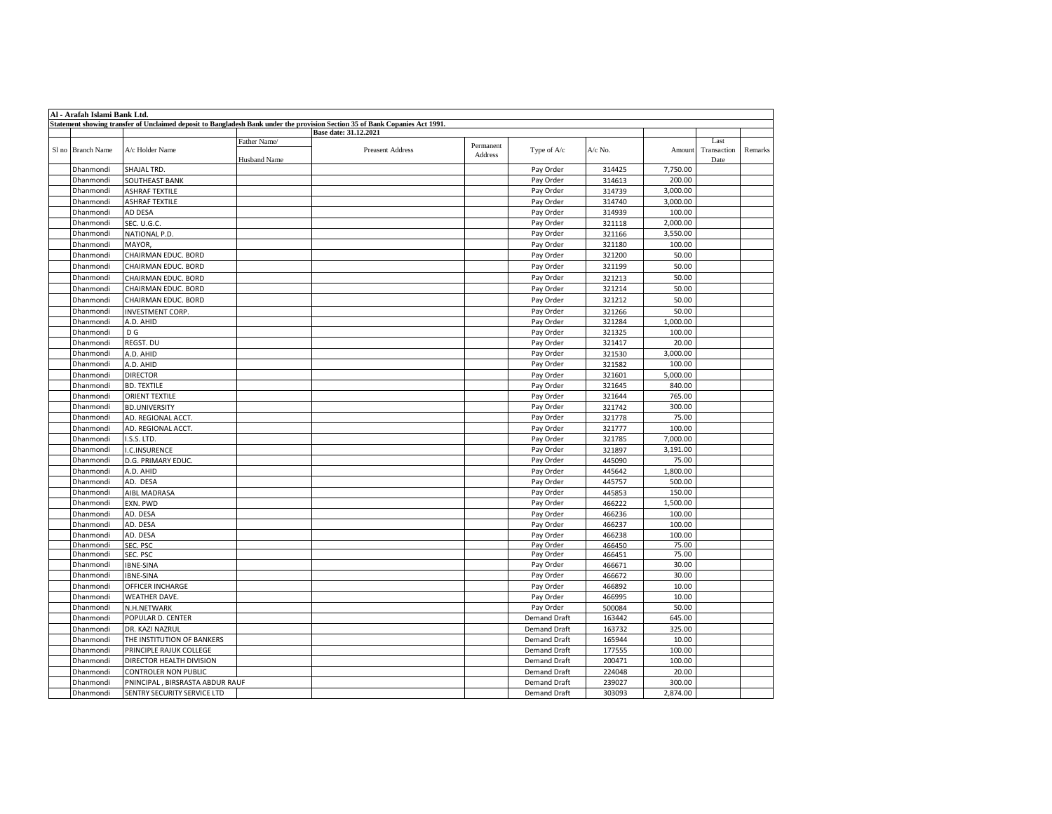| Al - Arafah Islami Bank Ltd. |                                 |                                     |                                                                                                                              |                      |                        |                  |                    |                             |         |
|------------------------------|---------------------------------|-------------------------------------|------------------------------------------------------------------------------------------------------------------------------|----------------------|------------------------|------------------|--------------------|-----------------------------|---------|
|                              |                                 |                                     | Statement showing transfer of Unclaimed deposit to Bangladesh Bank under the provision Section 35 of Bank Copanies Act 1991. |                      |                        |                  |                    |                             |         |
|                              |                                 |                                     | Base date: 31.12.2021                                                                                                        |                      |                        |                  |                    |                             |         |
| Sl no Branch Name            | A/c Holder Name                 | Father Name/<br><b>Husband Name</b> | <b>Preasent Address</b>                                                                                                      | Permanent<br>Address | Type of A/c            | A/c No.          | Amount             | Last<br>Transaction<br>Date | Remarks |
| Dhanmondi                    | <b>SHAJAL TRD</b>               |                                     |                                                                                                                              |                      | Pay Order              | 314425           | 7,750.00           |                             |         |
| Dhanmondi                    | SOUTHEAST BANK                  |                                     |                                                                                                                              |                      | Pay Order              | 314613           | 200.00             |                             |         |
| Dhanmondi                    | ASHRAF TEXTILE                  |                                     |                                                                                                                              |                      | Pay Order              | 314739           | 3,000.00           |                             |         |
| Dhanmondi                    | <b>ASHRAF TEXTILE</b>           |                                     |                                                                                                                              |                      | Pay Order              | 314740           | 3,000.00           |                             |         |
| Dhanmondi                    | AD DESA                         |                                     |                                                                                                                              |                      | Pay Order              | 314939           | 100.00             |                             |         |
| Dhanmondi                    | SEC. U.G.C.                     |                                     |                                                                                                                              |                      | Pay Order              | 321118           | 2,000.00           |                             |         |
| Dhanmondi                    | NATIONAL P.D.                   |                                     |                                                                                                                              |                      | Pay Order              | 321166           | 3,550.00           |                             |         |
| Dhanmondi                    | MAYOR.                          |                                     |                                                                                                                              |                      | Pay Order              | 321180           | 100.00             |                             |         |
| Dhanmondi                    | CHAIRMAN EDUC. BORD             |                                     |                                                                                                                              |                      | Pay Order              | 321200           | 50.00              |                             |         |
| Dhanmondi                    | CHAIRMAN EDUC. BORD             |                                     |                                                                                                                              |                      | Pay Order              | 321199           | 50.00              |                             |         |
| Dhanmondi                    | CHAIRMAN EDUC. BORD             |                                     |                                                                                                                              |                      | Pay Order              | 321213           | 50.00              |                             |         |
| Dhanmondi                    | CHAIRMAN EDUC. BORD             |                                     |                                                                                                                              |                      | Pay Order              | 321214           | 50.00              |                             |         |
| Dhanmondi                    | CHAIRMAN EDUC. BORD             |                                     |                                                                                                                              |                      | Pay Order              | 321212           | 50.00              |                             |         |
| Dhanmondi                    | <b>INVESTMENT CORP.</b>         |                                     |                                                                                                                              |                      | Pay Order              | 321266           | 50.00              |                             |         |
| Dhanmondi                    | A.D. AHID                       |                                     |                                                                                                                              |                      | Pay Order              | 321284           | 1,000.00           |                             |         |
| Dhanmondi                    | D G                             |                                     |                                                                                                                              |                      | Pay Order              | 321325           | 100.00             |                             |         |
| Dhanmondi                    | REGST. DU                       |                                     |                                                                                                                              |                      | Pay Order              | 321417           | 20.00              |                             |         |
| Dhanmondi                    | A.D. AHID                       |                                     |                                                                                                                              |                      | Pay Order              | 321530           | 3,000.00           |                             |         |
| Dhanmondi                    | A.D. AHID                       |                                     |                                                                                                                              |                      | Pay Order              | 321582           | 100.00             |                             |         |
| Dhanmondi                    | <b>DIRECTOR</b>                 |                                     |                                                                                                                              |                      | Pay Order              | 321601           | 5,000.00           |                             |         |
| Dhanmondi                    | <b>BD. TEXTILE</b>              |                                     |                                                                                                                              |                      | Pay Order              | 321645           | 840.00             |                             |         |
| Dhanmondi                    | ORIENT TEXTILE                  |                                     |                                                                                                                              |                      | Pay Order              | 321644           | 765.00             |                             |         |
| Dhanmondi                    | <b>BD.UNIVERSITY</b>            |                                     |                                                                                                                              |                      | Pay Order              | 321742           | 300.00             |                             |         |
| Dhanmondi                    | AD. REGIONAL ACCT.              |                                     |                                                                                                                              |                      | Pay Order              | 321778           | 75.00              |                             |         |
| Dhanmondi                    | AD. REGIONAL ACCT.              |                                     |                                                                                                                              |                      | Pay Order              | 321777           | 100.00             |                             |         |
| Dhanmondi                    | I.S.S. LTD.                     |                                     |                                                                                                                              |                      | Pay Order              | 321785           | 7,000.00           |                             |         |
| Dhanmondi                    | I.C.INSURENCE                   |                                     |                                                                                                                              |                      | Pay Order              | 321897           | 3,191.00           |                             |         |
| Dhanmondi                    | D.G. PRIMARY EDUC.              |                                     |                                                                                                                              |                      | Pay Order              | 445090           | 75.00              |                             |         |
| Dhanmondi                    | A.D. AHID                       |                                     |                                                                                                                              |                      | Pay Order              | 445642           | 1,800.00           |                             |         |
| Dhanmondi                    | AD. DESA                        |                                     |                                                                                                                              |                      | Pay Order              | 445757           | 500.00             |                             |         |
| Dhanmondi                    | AIBL MADRASA                    |                                     |                                                                                                                              |                      | Pay Order              | 445853           | 150.00             |                             |         |
| Dhanmondi                    |                                 |                                     |                                                                                                                              |                      |                        |                  |                    |                             |         |
| Dhanmondi                    | EXN. PWD<br>AD. DESA            |                                     |                                                                                                                              |                      | Pay Order<br>Pay Order | 466222           | 1,500.00<br>100.00 |                             |         |
| Dhanmondi                    | AD. DESA                        |                                     |                                                                                                                              |                      | Pay Order              | 466236<br>466237 | 100.00             |                             |         |
| Dhanmondi                    | AD. DESA                        |                                     |                                                                                                                              |                      | Pay Order              | 466238           | 100.00             |                             |         |
| Dhanmondi                    | SEC. PSC                        |                                     |                                                                                                                              |                      | Pay Order              | 466450           | 75.00              |                             |         |
| Dhanmondi                    | SEC. PSC                        |                                     |                                                                                                                              |                      | Pay Order              | 466451           | 75.00              |                             |         |
| Dhanmondi                    | <b>IBNE-SINA</b>                |                                     |                                                                                                                              |                      | Pay Order              | 466671           | 30.00              |                             |         |
| Dhanmondi                    | <b>IBNE-SINA</b>                |                                     |                                                                                                                              |                      | Pay Order              | 466672           | 30.00              |                             |         |
| Dhanmondi                    | OFFICER INCHARGE                |                                     |                                                                                                                              |                      | Pay Order              | 466892           | 10.00              |                             |         |
| Dhanmondi                    | WEATHER DAVE.                   |                                     |                                                                                                                              |                      | Pay Order              | 466995           | 10.00              |                             |         |
| Dhanmondi                    | N.H.NETWARK                     |                                     |                                                                                                                              |                      | Pay Order              | 500084           | 50.00              |                             |         |
| Dhanmondi                    | POPULAR D. CENTER               |                                     |                                                                                                                              |                      | <b>Demand Draft</b>    | 163442           | 645.00             |                             |         |
| Dhanmondi                    | DR. KAZI NAZRUL                 |                                     |                                                                                                                              |                      | <b>Demand Draft</b>    | 163732           | 325.00             |                             |         |
| Dhanmondi                    | THE INSTITUTION OF BANKERS      |                                     |                                                                                                                              |                      | <b>Demand Draft</b>    | 165944           | 10.00              |                             |         |
| Dhanmondi                    | PRINCIPLE RAJUK COLLEGE         |                                     |                                                                                                                              |                      | <b>Demand Draft</b>    | 177555           | 100.00             |                             |         |
| Dhanmondi                    | DIRECTOR HEALTH DIVISION        |                                     |                                                                                                                              |                      | <b>Demand Draft</b>    | 200471           | 100.00             |                             |         |
| Dhanmondi                    | CONTROLER NON PUBLIC            |                                     |                                                                                                                              |                      | <b>Demand Draft</b>    | 224048           | 20.00              |                             |         |
| Dhanmondi                    | PNINCIPAL, BIRSRASTA ABDUR RAUF |                                     |                                                                                                                              |                      | <b>Demand Draft</b>    | 239027           | 300.00             |                             |         |
| Dhanmondi                    | SENTRY SECURITY SERVICE LTD     |                                     |                                                                                                                              |                      | <b>Demand Draft</b>    | 303093           | 2,874.00           |                             |         |